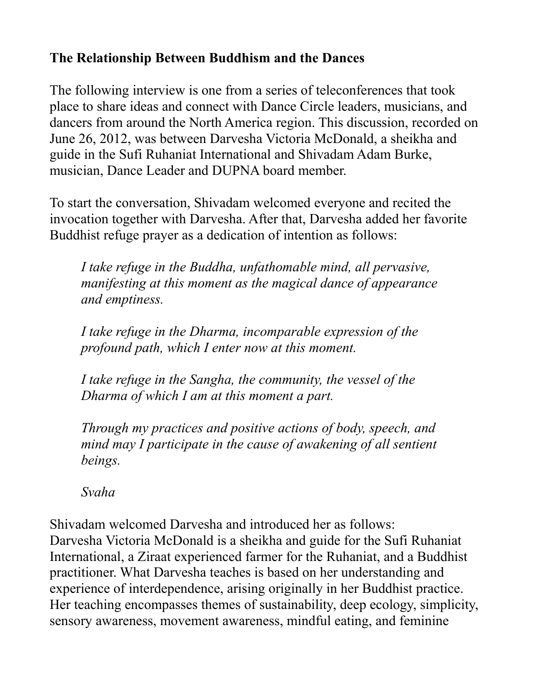## **The Relationship Between Buddhism and the Dances**

The following interview is one from a series of teleconferences that took place to share ideas and connect with Dance Circle leaders, musicians, and dancers from around the North America region. This discussion, recorded on June 26, 2012, was between Darvesha Victoria McDonald, a sheikha and guide in the Sufi Ruhaniat International and Shivadam Adam Burke, musician, Dance Leader and DUPNA board member.

To start the conversation, Shivadam welcomed everyone and recited the invocation together with Darvesha. After that, Darvesha added her favorite Buddhist refuge prayer as a dedication of intention as follows:

*I take refuge in the Buddha, unfathomable mind, all pervasive, manifesting at this moment as the magical dance of appearance and emptiness.*

*I take refuge in the Dharma, incomparable expression of the profound path, which I enter now at this moment.*

*I take refuge in the Sangha, the community, the vessel of the Dharma of which I am at this moment a part.*

*Through my practices and positive actions of body, speech, and mind may I participate in the cause of awakening of all sentient beings.* 

*Svaha*

Shivadam welcomed Darvesha and introduced her as follows: Darvesha Victoria McDonald is a sheikha and guide for the Sufi Ruhaniat International, a Ziraat experienced farmer for the Ruhaniat, and a Buddhist practitioner. What Darvesha teaches is based on her understanding and experience of interdependence, arising originally in her Buddhist practice. Her teaching encompasses themes of sustainability, deep ecology, simplicity, sensory awareness, movement awareness, mindful eating, and feminine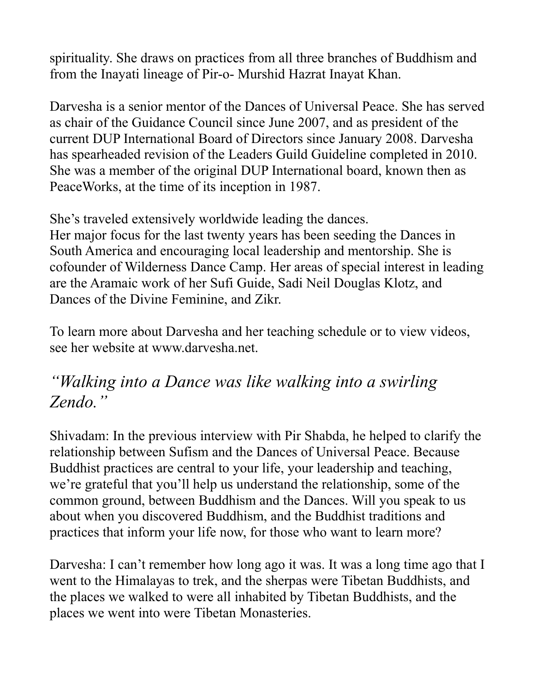spirituality. She draws on practices from all three branches of Buddhism and from the Inayati lineage of Pir-o- Murshid Hazrat Inayat Khan.

Darvesha is a senior mentor of the Dances of Universal Peace. She has served as chair of the Guidance Council since June 2007, and as president of the current DUP International Board of Directors since January 2008. Darvesha has spearheaded revision of the Leaders Guild Guideline completed in 2010. She was a member of the original DUP International board, known then as PeaceWorks, at the time of its inception in 1987.

She's traveled extensively worldwide leading the dances.

Her major focus for the last twenty years has been seeding the Dances in South America and encouraging local leadership and mentorship. She is cofounder of Wilderness Dance Camp. Her areas of special interest in leading are the Aramaic work of her Sufi Guide, Sadi Neil Douglas Klotz, and Dances of the Divine Feminine, and Zikr.

To learn more about Darvesha and her teaching schedule or to view videos, see her website at www.darvesha.net.

## *"Walking into a Dance was like walking into a swirling Zendo."*

Shivadam: In the previous interview with Pir Shabda, he helped to clarify the relationship between Sufism and the Dances of Universal Peace. Because Buddhist practices are central to your life, your leadership and teaching, we're grateful that you'll help us understand the relationship, some of the common ground, between Buddhism and the Dances. Will you speak to us about when you discovered Buddhism, and the Buddhist traditions and practices that inform your life now, for those who want to learn more?

Darvesha: I can't remember how long ago it was. It was a long time ago that I went to the Himalayas to trek, and the sherpas were Tibetan Buddhists, and the places we walked to were all inhabited by Tibetan Buddhists, and the places we went into were Tibetan Monasteries.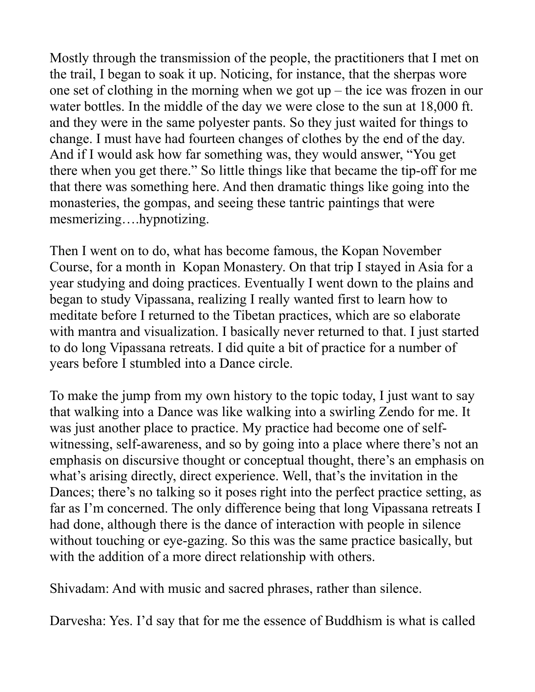Mostly through the transmission of the people, the practitioners that I met on the trail, I began to soak it up. Noticing, for instance, that the sherpas wore one set of clothing in the morning when we got up – the ice was frozen in our water bottles. In the middle of the day we were close to the sun at 18,000 ft. and they were in the same polyester pants. So they just waited for things to change. I must have had fourteen changes of clothes by the end of the day. And if I would ask how far something was, they would answer, "You get there when you get there." So little things like that became the tip-off for me that there was something here. And then dramatic things like going into the monasteries, the gompas, and seeing these tantric paintings that were mesmerizing….hypnotizing.

Then I went on to do, what has become famous, the Kopan November Course, for a month in Kopan Monastery. On that trip I stayed in Asia for a year studying and doing practices. Eventually I went down to the plains and began to study Vipassana, realizing I really wanted first to learn how to meditate before I returned to the Tibetan practices, which are so elaborate with mantra and visualization. I basically never returned to that. I just started to do long Vipassana retreats. I did quite a bit of practice for a number of years before I stumbled into a Dance circle.

To make the jump from my own history to the topic today, I just want to say that walking into a Dance was like walking into a swirling Zendo for me. It was just another place to practice. My practice had become one of selfwitnessing, self-awareness, and so by going into a place where there's not an emphasis on discursive thought or conceptual thought, there's an emphasis on what's arising directly, direct experience. Well, that's the invitation in the Dances; there's no talking so it poses right into the perfect practice setting, as far as I'm concerned. The only difference being that long Vipassana retreats I had done, although there is the dance of interaction with people in silence without touching or eye-gazing. So this was the same practice basically, but with the addition of a more direct relationship with others.

Shivadam: And with music and sacred phrases, rather than silence.

Darvesha: Yes. I'd say that for me the essence of Buddhism is what is called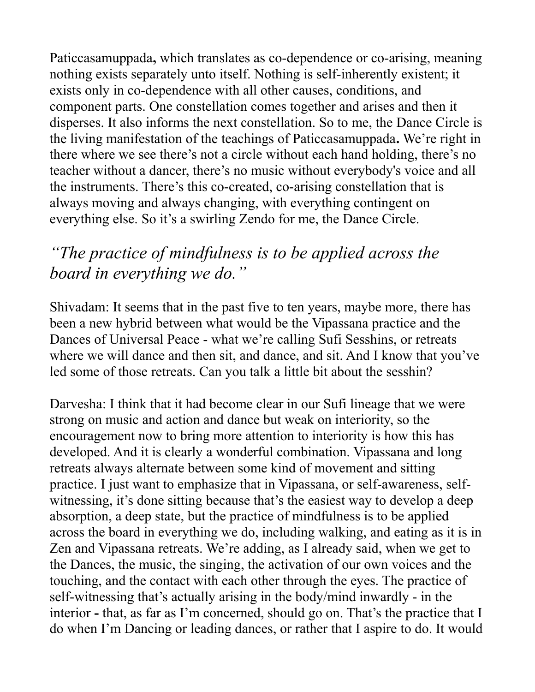Paticcasamuppada**,** which translates as co-dependence or co-arising, meaning nothing exists separately unto itself. Nothing is self-inherently existent; it exists only in co-dependence with all other causes, conditions, and component parts. One constellation comes together and arises and then it disperses. It also informs the next constellation. So to me, the Dance Circle is the living manifestation of the teachings of Paticcasamuppada**.** We're right in there where we see there's not a circle without each hand holding, there's no teacher without a dancer, there's no music without everybody's voice and all the instruments. There's this co-created, co-arising constellation that is always moving and always changing, with everything contingent on everything else. So it's a swirling Zendo for me, the Dance Circle.

## *"The practice of mindfulness is to be applied across the board in everything we do."*

Shivadam: It seems that in the past five to ten years, maybe more, there has been a new hybrid between what would be the Vipassana practice and the Dances of Universal Peace - what we're calling Sufi Sesshins, or retreats where we will dance and then sit, and dance, and sit. And I know that you've led some of those retreats. Can you talk a little bit about the sesshin?

Darvesha: I think that it had become clear in our Sufi lineage that we were strong on music and action and dance but weak on interiority, so the encouragement now to bring more attention to interiority is how this has developed. And it is clearly a wonderful combination. Vipassana and long retreats always alternate between some kind of movement and sitting practice. I just want to emphasize that in Vipassana, or self-awareness, selfwitnessing, it's done sitting because that's the easiest way to develop a deep absorption, a deep state, but the practice of mindfulness is to be applied across the board in everything we do, including walking, and eating as it is in Zen and Vipassana retreats. We're adding, as I already said, when we get to the Dances, the music, the singing, the activation of our own voices and the touching, and the contact with each other through the eyes. The practice of self-witnessing that's actually arising in the body/mind inwardly - in the interior **-** that, as far as I'm concerned, should go on. That's the practice that I do when I'm Dancing or leading dances, or rather that I aspire to do. It would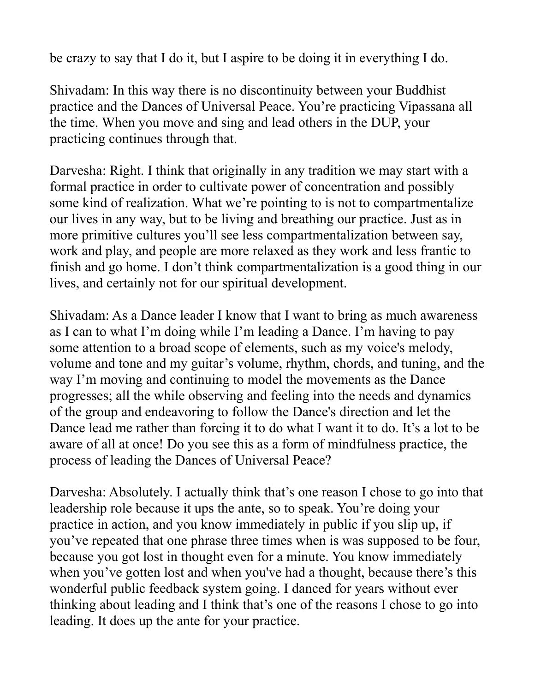be crazy to say that I do it, but I aspire to be doing it in everything I do.

Shivadam: In this way there is no discontinuity between your Buddhist practice and the Dances of Universal Peace. You're practicing Vipassana all the time. When you move and sing and lead others in the DUP, your practicing continues through that.

Darvesha: Right. I think that originally in any tradition we may start with a formal practice in order to cultivate power of concentration and possibly some kind of realization. What we're pointing to is not to compartmentalize our lives in any way, but to be living and breathing our practice. Just as in more primitive cultures you'll see less compartmentalization between say, work and play, and people are more relaxed as they work and less frantic to finish and go home. I don't think compartmentalization is a good thing in our lives, and certainly not for our spiritual development.

Shivadam: As a Dance leader I know that I want to bring as much awareness as I can to what I'm doing while I'm leading a Dance. I'm having to pay some attention to a broad scope of elements, such as my voice's melody, volume and tone and my guitar's volume, rhythm, chords, and tuning, and the way I'm moving and continuing to model the movements as the Dance progresses; all the while observing and feeling into the needs and dynamics of the group and endeavoring to follow the Dance's direction and let the Dance lead me rather than forcing it to do what I want it to do. It's a lot to be aware of all at once! Do you see this as a form of mindfulness practice, the process of leading the Dances of Universal Peace?

Darvesha: Absolutely. I actually think that's one reason I chose to go into that leadership role because it ups the ante, so to speak. You're doing your practice in action, and you know immediately in public if you slip up, if you've repeated that one phrase three times when is was supposed to be four, because you got lost in thought even for a minute. You know immediately when you've gotten lost and when you've had a thought, because there's this wonderful public feedback system going. I danced for years without ever thinking about leading and I think that's one of the reasons I chose to go into leading. It does up the ante for your practice.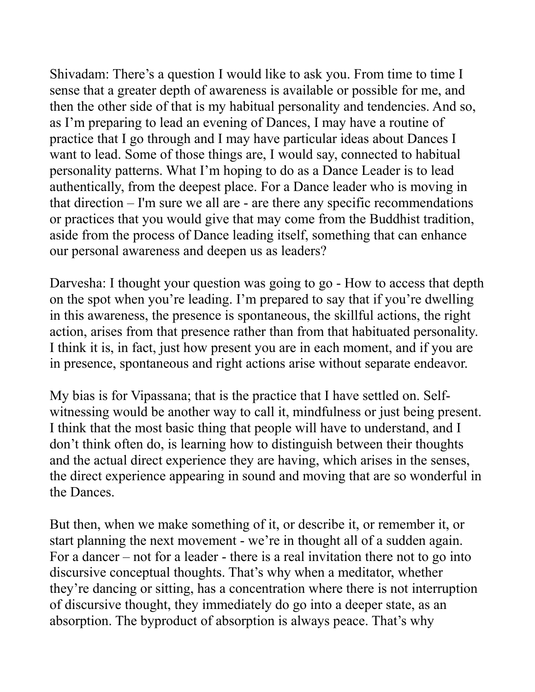Shivadam: There's a question I would like to ask you. From time to time I sense that a greater depth of awareness is available or possible for me, and then the other side of that is my habitual personality and tendencies. And so, as I'm preparing to lead an evening of Dances, I may have a routine of practice that I go through and I may have particular ideas about Dances I want to lead. Some of those things are, I would say, connected to habitual personality patterns. What I'm hoping to do as a Dance Leader is to lead authentically, from the deepest place. For a Dance leader who is moving in that direction – I'm sure we all are - are there any specific recommendations or practices that you would give that may come from the Buddhist tradition, aside from the process of Dance leading itself, something that can enhance our personal awareness and deepen us as leaders?

Darvesha: I thought your question was going to go - How to access that depth on the spot when you're leading. I'm prepared to say that if you're dwelling in this awareness, the presence is spontaneous, the skillful actions, the right action, arises from that presence rather than from that habituated personality. I think it is, in fact, just how present you are in each moment, and if you are in presence, spontaneous and right actions arise without separate endeavor.

My bias is for Vipassana; that is the practice that I have settled on. Selfwitnessing would be another way to call it, mindfulness or just being present. I think that the most basic thing that people will have to understand, and I don't think often do, is learning how to distinguish between their thoughts and the actual direct experience they are having, which arises in the senses, the direct experience appearing in sound and moving that are so wonderful in the Dances.

But then, when we make something of it, or describe it, or remember it, or start planning the next movement - we're in thought all of a sudden again. For a dancer – not for a leader - there is a real invitation there not to go into discursive conceptual thoughts. That's why when a meditator, whether they're dancing or sitting, has a concentration where there is not interruption of discursive thought, they immediately do go into a deeper state, as an absorption. The byproduct of absorption is always peace. That's why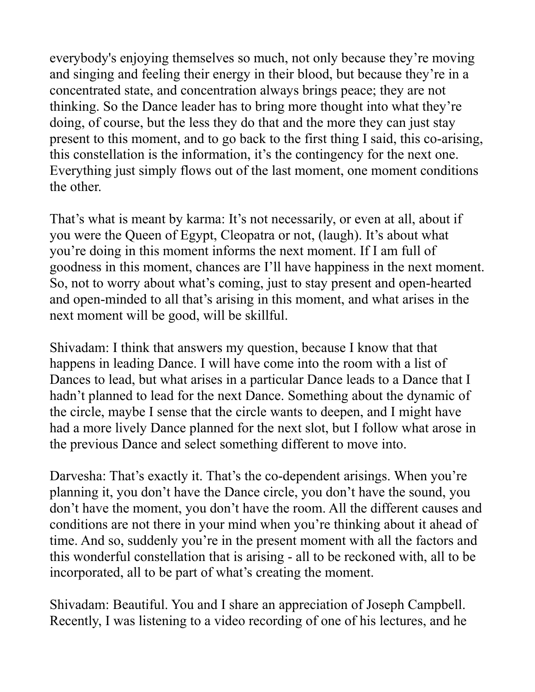everybody's enjoying themselves so much, not only because they're moving and singing and feeling their energy in their blood, but because they're in a concentrated state, and concentration always brings peace; they are not thinking. So the Dance leader has to bring more thought into what they're doing, of course, but the less they do that and the more they can just stay present to this moment, and to go back to the first thing I said, this co-arising, this constellation is the information, it's the contingency for the next one. Everything just simply flows out of the last moment, one moment conditions the other.

That's what is meant by karma: It's not necessarily, or even at all, about if you were the Queen of Egypt, Cleopatra or not, (laugh). It's about what you're doing in this moment informs the next moment. If I am full of goodness in this moment, chances are I'll have happiness in the next moment. So, not to worry about what's coming, just to stay present and open-hearted and open-minded to all that's arising in this moment, and what arises in the next moment will be good, will be skillful.

Shivadam: I think that answers my question, because I know that that happens in leading Dance. I will have come into the room with a list of Dances to lead, but what arises in a particular Dance leads to a Dance that I hadn't planned to lead for the next Dance. Something about the dynamic of the circle, maybe I sense that the circle wants to deepen, and I might have had a more lively Dance planned for the next slot, but I follow what arose in the previous Dance and select something different to move into.

Darvesha: That's exactly it. That's the co-dependent arisings. When you're planning it, you don't have the Dance circle, you don't have the sound, you don't have the moment, you don't have the room. All the different causes and conditions are not there in your mind when you're thinking about it ahead of time. And so, suddenly you're in the present moment with all the factors and this wonderful constellation that is arising - all to be reckoned with, all to be incorporated, all to be part of what's creating the moment.

Shivadam: Beautiful. You and I share an appreciation of Joseph Campbell. Recently, I was listening to a video recording of one of his lectures, and he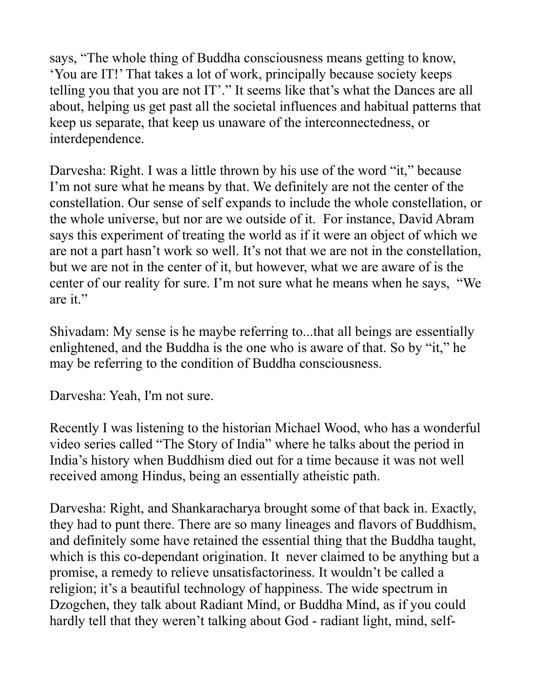says, "The whole thing of Buddha consciousness means getting to know, 'You are IT!' That takes a lot of work, principally because society keeps telling you that you are not IT'." It seems like that's what the Dances are all about, helping us get past all the societal influences and habitual patterns that keep us separate, that keep us unaware of the interconnectedness, or interdependence.

Darvesha: Right. I was a little thrown by his use of the word "it," because I'm not sure what he means by that. We definitely are not the center of the constellation. Our sense of self expands to include the whole constellation, or the whole universe, but nor are we outside of it. For instance, David Abram says this experiment of treating the world as if it were an object of which we are not a part hasn't work so well. It's not that we are not in the constellation, but we are not in the center of it, but however, what we are aware of is the center of our reality for sure. I'm not sure what he means when he says, "We are it."

Shivadam: My sense is he maybe referring to...that all beings are essentially enlightened, and the Buddha is the one who is aware of that. So by "it," he may be referring to the condition of Buddha consciousness.

Darvesha: Yeah, I'm not sure.

Recently I was listening to the historian Michael Wood, who has a wonderful video series called "The Story of India" where he talks about the period in India's history when Buddhism died out for a time because it was not well received among Hindus, being an essentially atheistic path.

Darvesha: Right, and Shankaracharya brought some of that back in. Exactly, they had to punt there. There are so many lineages and flavors of Buddhism, and definitely some have retained the essential thing that the Buddha taught, which is this co-dependant origination. It never claimed to be anything but a promise, a remedy to relieve unsatisfactoriness. It wouldn't be called a religion; it's a beautiful technology of happiness. The wide spectrum in Dzogchen, they talk about Radiant Mind, or Buddha Mind, as if you could hardly tell that they weren't talking about God - radiant light, mind, self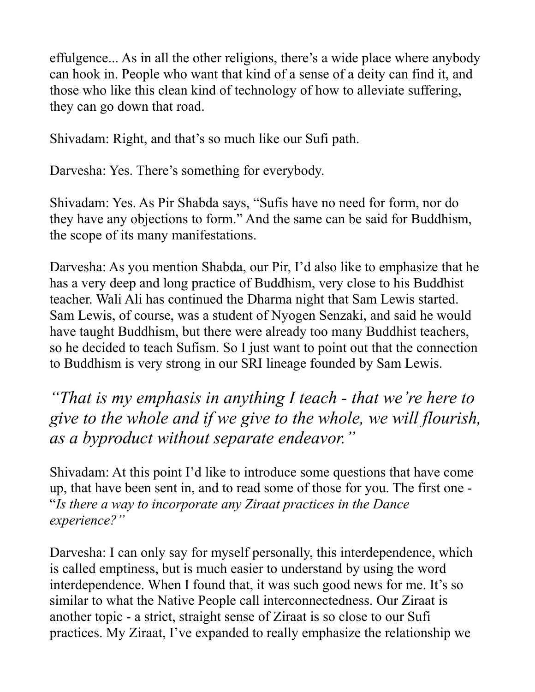effulgence... As in all the other religions, there's a wide place where anybody can hook in. People who want that kind of a sense of a deity can find it, and those who like this clean kind of technology of how to alleviate suffering, they can go down that road.

Shivadam: Right, and that's so much like our Sufi path.

Darvesha: Yes. There's something for everybody.

Shivadam: Yes. As Pir Shabda says, "Sufis have no need for form, nor do they have any objections to form." And the same can be said for Buddhism, the scope of its many manifestations.

Darvesha: As you mention Shabda, our Pir, I'd also like to emphasize that he has a very deep and long practice of Buddhism, very close to his Buddhist teacher. Wali Ali has continued the Dharma night that Sam Lewis started. Sam Lewis, of course, was a student of Nyogen Senzaki, and said he would have taught Buddhism, but there were already too many Buddhist teachers, so he decided to teach Sufism. So I just want to point out that the connection to Buddhism is very strong in our SRI lineage founded by Sam Lewis.

*"That is my emphasis in anything I teach - that we're here to give to the whole and if we give to the whole, we will flourish, as a byproduct without separate endeavor."*

Shivadam: At this point I'd like to introduce some questions that have come up, that have been sent in, and to read some of those for you. The first one - "*Is there a way to incorporate any Ziraat practices in the Dance experience?"*

Darvesha: I can only say for myself personally, this interdependence, which is called emptiness, but is much easier to understand by using the word interdependence. When I found that, it was such good news for me. It's so similar to what the Native People call interconnectedness. Our Ziraat is another topic - a strict, straight sense of Ziraat is so close to our Sufi practices. My Ziraat, I've expanded to really emphasize the relationship we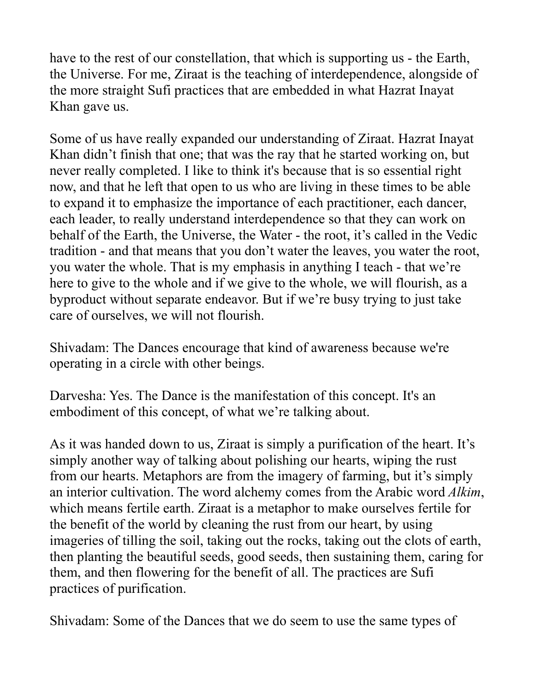have to the rest of our constellation, that which is supporting us - the Earth, the Universe. For me, Ziraat is the teaching of interdependence, alongside of the more straight Sufi practices that are embedded in what Hazrat Inayat Khan gave us.

Some of us have really expanded our understanding of Ziraat. Hazrat Inayat Khan didn't finish that one; that was the ray that he started working on, but never really completed. I like to think it's because that is so essential right now, and that he left that open to us who are living in these times to be able to expand it to emphasize the importance of each practitioner, each dancer, each leader, to really understand interdependence so that they can work on behalf of the Earth, the Universe, the Water - the root, it's called in the Vedic tradition - and that means that you don't water the leaves, you water the root, you water the whole. That is my emphasis in anything I teach - that we're here to give to the whole and if we give to the whole, we will flourish, as a byproduct without separate endeavor. But if we're busy trying to just take care of ourselves, we will not flourish.

Shivadam: The Dances encourage that kind of awareness because we're operating in a circle with other beings.

Darvesha: Yes. The Dance is the manifestation of this concept. It's an embodiment of this concept, of what we're talking about.

As it was handed down to us, Ziraat is simply a purification of the heart. It's simply another way of talking about polishing our hearts, wiping the rust from our hearts. Metaphors are from the imagery of farming, but it's simply an interior cultivation. The word alchemy comes from the Arabic word *Alkim*, which means fertile earth. Ziraat is a metaphor to make ourselves fertile for the benefit of the world by cleaning the rust from our heart, by using imageries of tilling the soil, taking out the rocks, taking out the clots of earth, then planting the beautiful seeds, good seeds, then sustaining them, caring for them, and then flowering for the benefit of all. The practices are Sufi practices of purification.

Shivadam: Some of the Dances that we do seem to use the same types of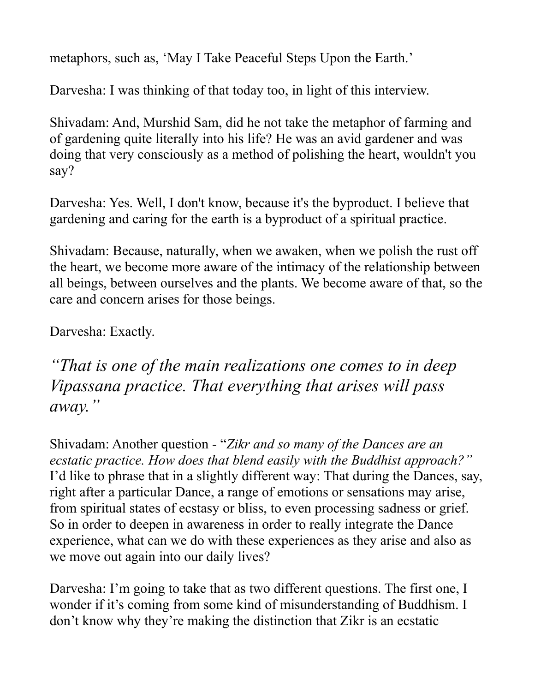metaphors, such as, 'May I Take Peaceful Steps Upon the Earth.'

Darvesha: I was thinking of that today too, in light of this interview.

Shivadam: And, Murshid Sam, did he not take the metaphor of farming and of gardening quite literally into his life? He was an avid gardener and was doing that very consciously as a method of polishing the heart, wouldn't you say?

Darvesha: Yes. Well, I don't know, because it's the byproduct. I believe that gardening and caring for the earth is a byproduct of a spiritual practice.

Shivadam: Because, naturally, when we awaken, when we polish the rust off the heart, we become more aware of the intimacy of the relationship between all beings, between ourselves and the plants. We become aware of that, so the care and concern arises for those beings.

Darvesha: Exactly.

*"That is one of the main realizations one comes to in deep Vipassana practice. That everything that arises will pass away."*

Shivadam: Another question - "*Zikr and so many of the Dances are an ecstatic practice. How does that blend easily with the Buddhist approach?"* I'd like to phrase that in a slightly different way: That during the Dances, say, right after a particular Dance, a range of emotions or sensations may arise, from spiritual states of ecstasy or bliss, to even processing sadness or grief. So in order to deepen in awareness in order to really integrate the Dance experience, what can we do with these experiences as they arise and also as we move out again into our daily lives?

Darvesha: I'm going to take that as two different questions. The first one, I wonder if it's coming from some kind of misunderstanding of Buddhism. I don't know why they're making the distinction that Zikr is an ecstatic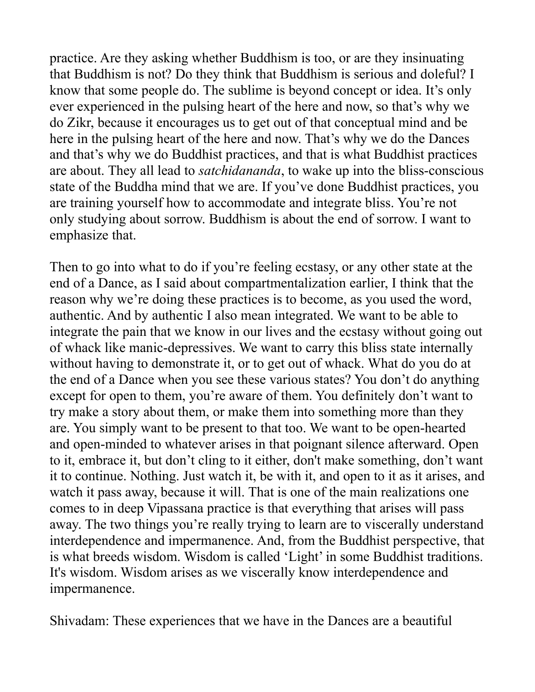practice. Are they asking whether Buddhism is too, or are they insinuating that Buddhism is not? Do they think that Buddhism is serious and doleful? I know that some people do. The sublime is beyond concept or idea. It's only ever experienced in the pulsing heart of the here and now, so that's why we do Zikr, because it encourages us to get out of that conceptual mind and be here in the pulsing heart of the here and now. That's why we do the Dances and that's why we do Buddhist practices, and that is what Buddhist practices are about. They all lead to *satchidananda*, to wake up into the bliss-conscious state of the Buddha mind that we are. If you've done Buddhist practices, you are training yourself how to accommodate and integrate bliss. You're not only studying about sorrow. Buddhism is about the end of sorrow. I want to emphasize that.

Then to go into what to do if you're feeling ecstasy, or any other state at the end of a Dance, as I said about compartmentalization earlier, I think that the reason why we're doing these practices is to become, as you used the word, authentic. And by authentic I also mean integrated. We want to be able to integrate the pain that we know in our lives and the ecstasy without going out of whack like manic-depressives. We want to carry this bliss state internally without having to demonstrate it, or to get out of whack. What do you do at the end of a Dance when you see these various states? You don't do anything except for open to them, you're aware of them. You definitely don't want to try make a story about them, or make them into something more than they are. You simply want to be present to that too. We want to be open-hearted and open-minded to whatever arises in that poignant silence afterward. Open to it, embrace it, but don't cling to it either, don't make something, don't want it to continue. Nothing. Just watch it, be with it, and open to it as it arises, and watch it pass away, because it will. That is one of the main realizations one comes to in deep Vipassana practice is that everything that arises will pass away. The two things you're really trying to learn are to viscerally understand interdependence and impermanence. And, from the Buddhist perspective, that is what breeds wisdom. Wisdom is called 'Light' in some Buddhist traditions. It's wisdom. Wisdom arises as we viscerally know interdependence and impermanence.

Shivadam: These experiences that we have in the Dances are a beautiful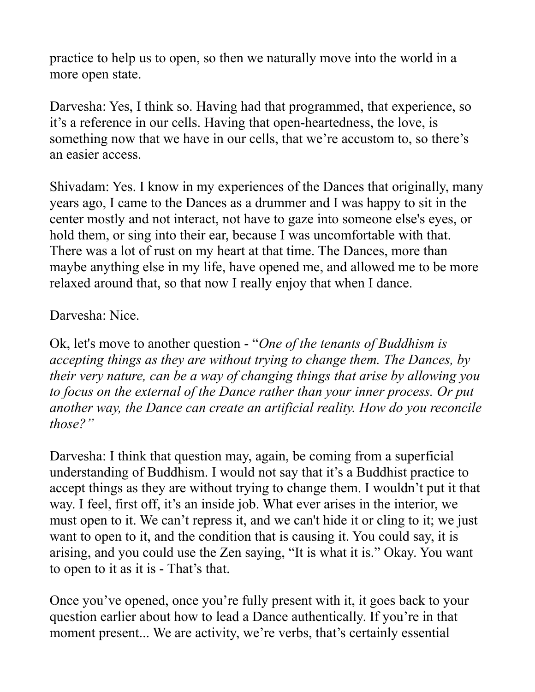practice to help us to open, so then we naturally move into the world in a more open state.

Darvesha: Yes, I think so. Having had that programmed, that experience, so it's a reference in our cells. Having that open-heartedness, the love, is something now that we have in our cells, that we're accustom to, so there's an easier access.

Shivadam: Yes. I know in my experiences of the Dances that originally, many years ago, I came to the Dances as a drummer and I was happy to sit in the center mostly and not interact, not have to gaze into someone else's eyes, or hold them, or sing into their ear, because I was uncomfortable with that. There was a lot of rust on my heart at that time. The Dances, more than maybe anything else in my life, have opened me, and allowed me to be more relaxed around that, so that now I really enjoy that when I dance.

## Darvesha: Nice.

Ok, let's move to another question - "*One of the tenants of Buddhism is accepting things as they are without trying to change them. The Dances, by their very nature, can be a way of changing things that arise by allowing you to focus on the external of the Dance rather than your inner process. Or put another way, the Dance can create an artificial reality. How do you reconcile those?"*

Darvesha: I think that question may, again, be coming from a superficial understanding of Buddhism. I would not say that it's a Buddhist practice to accept things as they are without trying to change them. I wouldn't put it that way. I feel, first off, it's an inside job. What ever arises in the interior, we must open to it. We can't repress it, and we can't hide it or cling to it; we just want to open to it, and the condition that is causing it. You could say, it is arising, and you could use the Zen saying, "It is what it is." Okay. You want to open to it as it is - That's that.

Once you've opened, once you're fully present with it, it goes back to your question earlier about how to lead a Dance authentically. If you're in that moment present... We are activity, we're verbs, that's certainly essential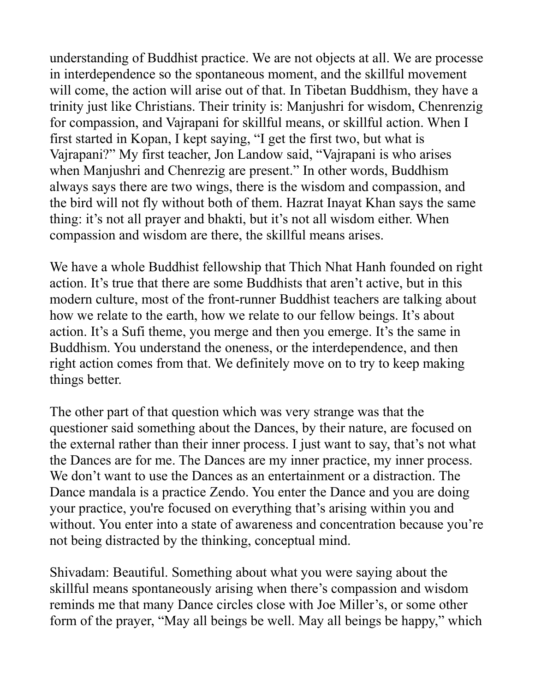understanding of Buddhist practice. We are not objects at all. We are processe in interdependence so the spontaneous moment, and the skillful movement will come, the action will arise out of that. In Tibetan Buddhism, they have a trinity just like Christians. Their trinity is: Manjushri for wisdom, Chenrenzig for compassion, and Vajrapani for skillful means, or skillful action. When I first started in Kopan, I kept saying, "I get the first two, but what is Vajrapani?" My first teacher, Jon Landow said, "Vajrapani is who arises when Manjushri and Chenrezig are present." In other words, Buddhism always says there are two wings, there is the wisdom and compassion, and the bird will not fly without both of them. Hazrat Inayat Khan says the same thing: it's not all prayer and bhakti, but it's not all wisdom either. When compassion and wisdom are there, the skillful means arises.

We have a whole Buddhist fellowship that Thich Nhat Hanh founded on right action. It's true that there are some Buddhists that aren't active, but in this modern culture, most of the front-runner Buddhist teachers are talking about how we relate to the earth, how we relate to our fellow beings. It's about action. It's a Sufi theme, you merge and then you emerge. It's the same in Buddhism. You understand the oneness, or the interdependence, and then right action comes from that. We definitely move on to try to keep making things better.

The other part of that question which was very strange was that the questioner said something about the Dances, by their nature, are focused on the external rather than their inner process. I just want to say, that's not what the Dances are for me. The Dances are my inner practice, my inner process. We don't want to use the Dances as an entertainment or a distraction. The Dance mandala is a practice Zendo. You enter the Dance and you are doing your practice, you're focused on everything that's arising within you and without. You enter into a state of awareness and concentration because you're not being distracted by the thinking, conceptual mind.

Shivadam: Beautiful. Something about what you were saying about the skillful means spontaneously arising when there's compassion and wisdom reminds me that many Dance circles close with Joe Miller's, or some other form of the prayer, "May all beings be well. May all beings be happy," which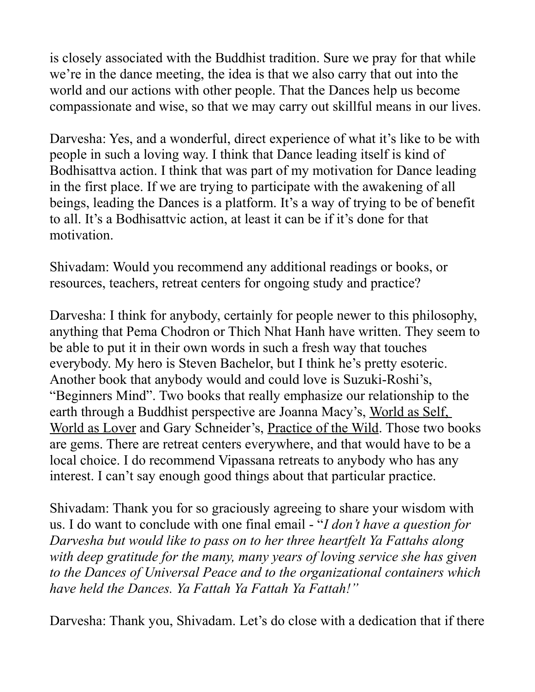is closely associated with the Buddhist tradition. Sure we pray for that while we're in the dance meeting, the idea is that we also carry that out into the world and our actions with other people. That the Dances help us become compassionate and wise, so that we may carry out skillful means in our lives.

Darvesha: Yes, and a wonderful, direct experience of what it's like to be with people in such a loving way. I think that Dance leading itself is kind of Bodhisattva action. I think that was part of my motivation for Dance leading in the first place. If we are trying to participate with the awakening of all beings, leading the Dances is a platform. It's a way of trying to be of benefit to all. It's a Bodhisattvic action, at least it can be if it's done for that motivation.

Shivadam: Would you recommend any additional readings or books, or resources, teachers, retreat centers for ongoing study and practice?

Darvesha: I think for anybody, certainly for people newer to this philosophy, anything that Pema Chodron or Thich Nhat Hanh have written. They seem to be able to put it in their own words in such a fresh way that touches everybody. My hero is Steven Bachelor, but I think he's pretty esoteric. Another book that anybody would and could love is Suzuki-Roshi's, "Beginners Mind". Two books that really emphasize our relationship to the earth through a Buddhist perspective are Joanna Macy's, World as Self, World as Lover and Gary Schneider's, Practice of the Wild. Those two books are gems. There are retreat centers everywhere, and that would have to be a local choice. I do recommend Vipassana retreats to anybody who has any interest. I can't say enough good things about that particular practice.

Shivadam: Thank you for so graciously agreeing to share your wisdom with us. I do want to conclude with one final email - "*I don't have a question for Darvesha but would like to pass on to her three heartfelt Ya Fattahs along with deep gratitude for the many, many years of loving service she has given to the Dances of Universal Peace and to the organizational containers which have held the Dances. Ya Fattah Ya Fattah Ya Fattah!"*

Darvesha: Thank you, Shivadam. Let's do close with a dedication that if there